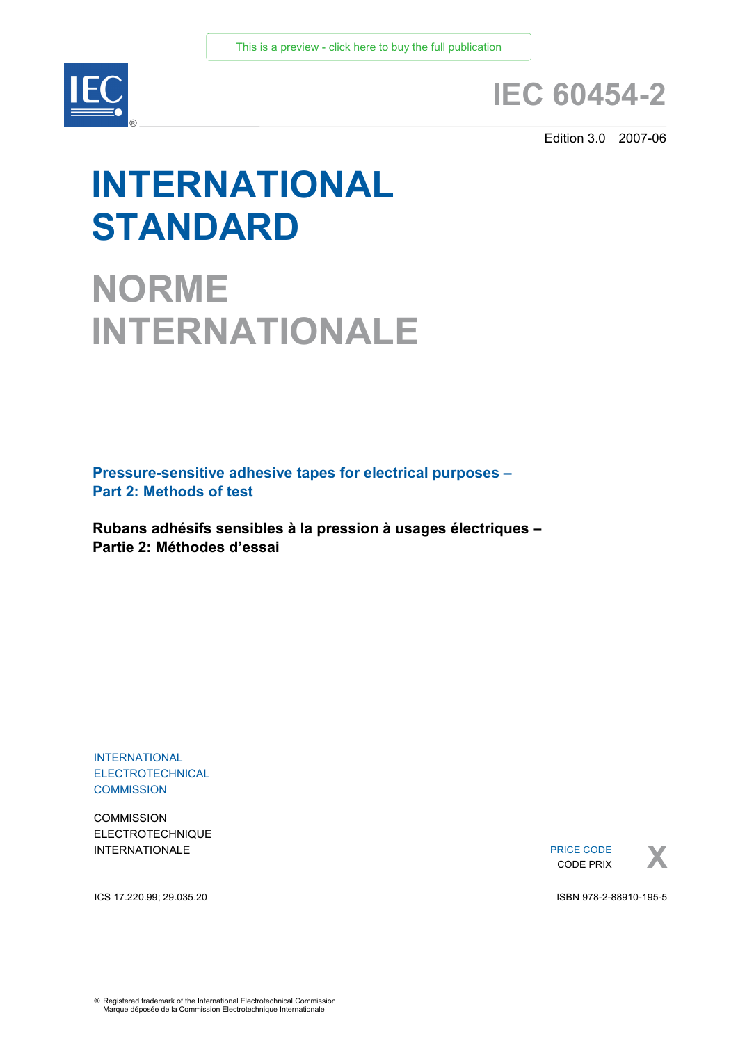

## **IEC 60454-2**

Edition 3.0 2007-06

# **INTERNATIONAL STANDARD**

**NORME INTERNATIONALE**

**Pressure-sensitive adhesive tapes for electrical purposes – Part 2: Methods of test** 

**Rubans adhésifs sensibles à la pression à usages électriques – Partie 2: Méthodes d'essai** 

INTERNATIONAL ELECTROTECHNICAL **COMMISSION** 

**COMMISSION** ELECTROTECHNIQUE

INTERNATIONALE PRICE CODE PRICE CODE PRICE CODE PRICE CODE PRIX PRICE CODE CODE PRIX



ICS 17.220.99; 29.035.20

ISBN 978-2-88910-195-5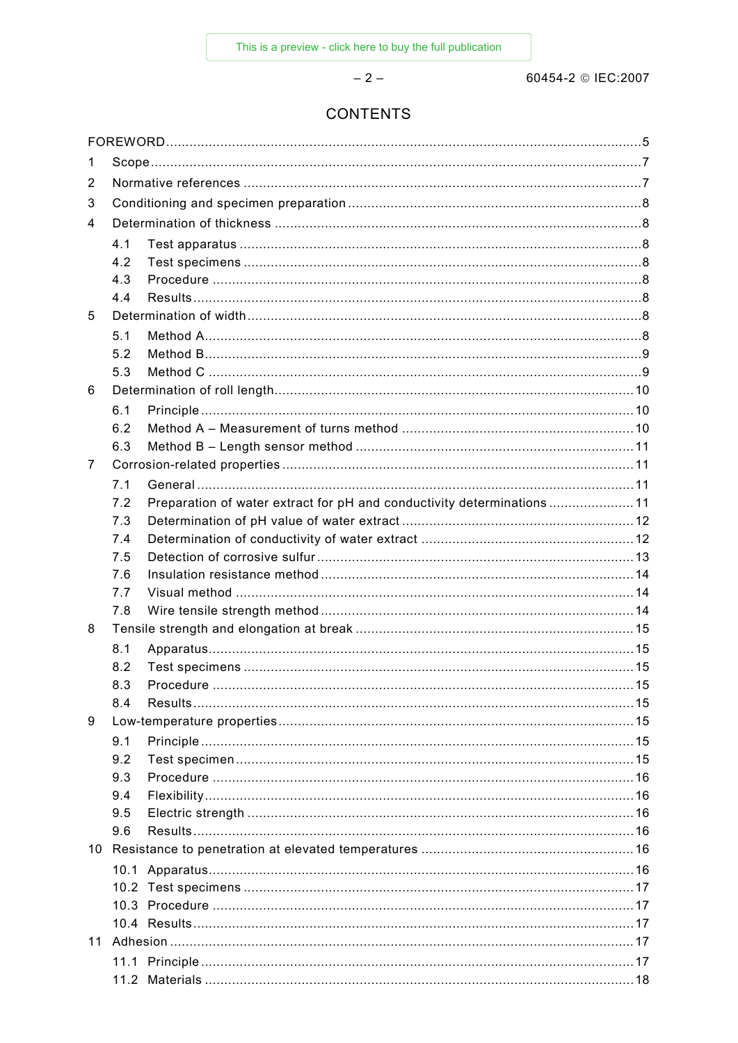$-2-$ 

### **CONTENTS**

| 1              |     |                                                                       |    |  |
|----------------|-----|-----------------------------------------------------------------------|----|--|
| $\overline{2}$ |     |                                                                       |    |  |
| 3              |     |                                                                       |    |  |
| 4              |     |                                                                       |    |  |
|                | 4.1 |                                                                       |    |  |
|                | 4.2 |                                                                       |    |  |
|                | 4.3 |                                                                       |    |  |
|                | 4.4 |                                                                       |    |  |
| 5              |     |                                                                       |    |  |
|                | 5.1 |                                                                       |    |  |
|                | 5.2 |                                                                       |    |  |
|                | 5.3 |                                                                       |    |  |
| 6              |     |                                                                       |    |  |
|                | 6.1 |                                                                       |    |  |
|                | 6.2 |                                                                       |    |  |
|                | 6.3 |                                                                       |    |  |
| $\overline{7}$ |     |                                                                       |    |  |
|                | 7.1 |                                                                       |    |  |
|                | 7.2 | Preparation of water extract for pH and conductivity determinations11 |    |  |
|                | 7.3 |                                                                       |    |  |
|                | 7.4 |                                                                       |    |  |
|                | 7.5 |                                                                       |    |  |
|                | 7.6 |                                                                       |    |  |
|                | 7.7 |                                                                       |    |  |
|                | 7.8 |                                                                       |    |  |
| 8              |     |                                                                       |    |  |
|                | 8.1 |                                                                       |    |  |
|                | 8.2 |                                                                       |    |  |
|                | 8.3 | Procedure                                                             | 15 |  |
|                | 8.4 |                                                                       |    |  |
| 9              |     |                                                                       |    |  |
|                | 9.1 |                                                                       |    |  |
|                | 9.2 |                                                                       |    |  |
|                | 9.3 |                                                                       |    |  |
|                | 9.4 |                                                                       |    |  |
|                | 9.5 |                                                                       |    |  |
|                | 9.6 |                                                                       |    |  |
| 10             |     |                                                                       |    |  |
|                |     |                                                                       |    |  |
|                |     |                                                                       |    |  |
|                |     |                                                                       |    |  |
|                |     |                                                                       |    |  |
| 11             |     |                                                                       |    |  |
|                |     |                                                                       |    |  |
|                |     |                                                                       |    |  |
|                |     |                                                                       |    |  |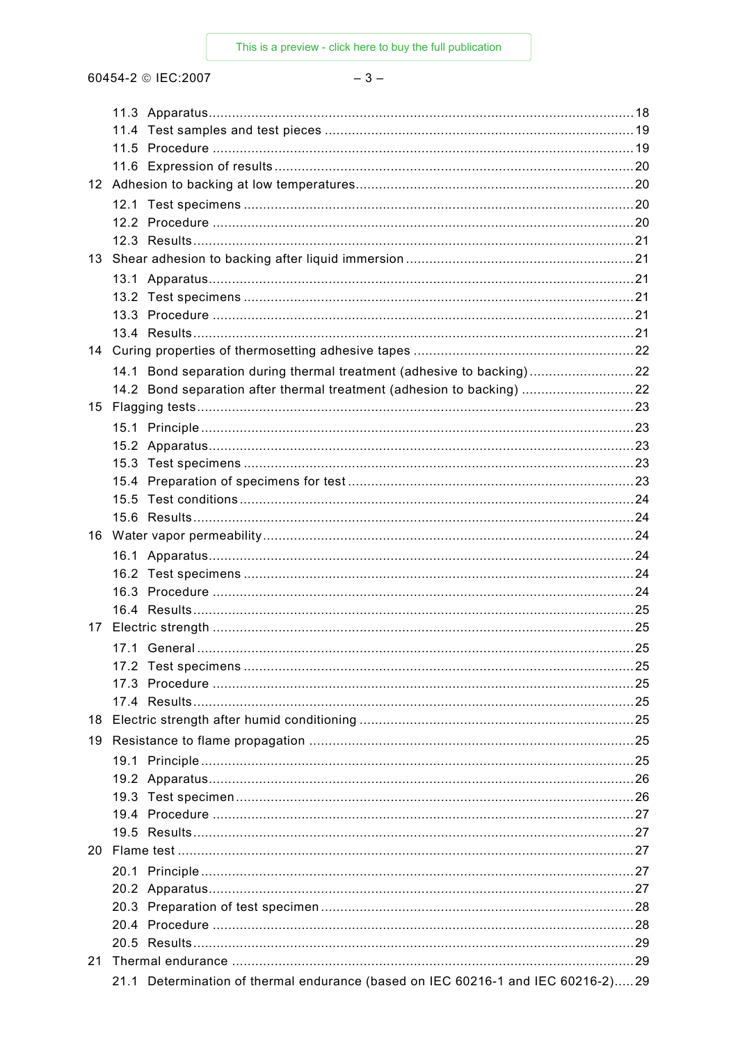60454-2 © IEC:2007

### $-3-$

| 12 |                                                                                  |  |
|----|----------------------------------------------------------------------------------|--|
|    |                                                                                  |  |
|    |                                                                                  |  |
|    |                                                                                  |  |
| 13 |                                                                                  |  |
|    |                                                                                  |  |
|    |                                                                                  |  |
|    |                                                                                  |  |
|    |                                                                                  |  |
|    |                                                                                  |  |
|    |                                                                                  |  |
|    | 14.1 Bond separation during thermal treatment (adhesive to backing)22            |  |
|    | 14.2 Bond separation after thermal treatment (adhesion to backing) 22            |  |
| 15 |                                                                                  |  |
|    |                                                                                  |  |
|    |                                                                                  |  |
|    |                                                                                  |  |
|    |                                                                                  |  |
|    |                                                                                  |  |
|    |                                                                                  |  |
| 16 |                                                                                  |  |
|    |                                                                                  |  |
|    |                                                                                  |  |
|    |                                                                                  |  |
|    |                                                                                  |  |
| 17 |                                                                                  |  |
|    |                                                                                  |  |
|    |                                                                                  |  |
|    |                                                                                  |  |
|    |                                                                                  |  |
| 18 |                                                                                  |  |
| 19 |                                                                                  |  |
|    |                                                                                  |  |
|    |                                                                                  |  |
|    |                                                                                  |  |
|    |                                                                                  |  |
|    |                                                                                  |  |
|    |                                                                                  |  |
| 20 |                                                                                  |  |
|    |                                                                                  |  |
|    |                                                                                  |  |
|    |                                                                                  |  |
|    |                                                                                  |  |
|    |                                                                                  |  |
| 21 |                                                                                  |  |
|    | 21.1 Determination of thermal endurance (based on IEC 60216-1 and IEC 60216-2)29 |  |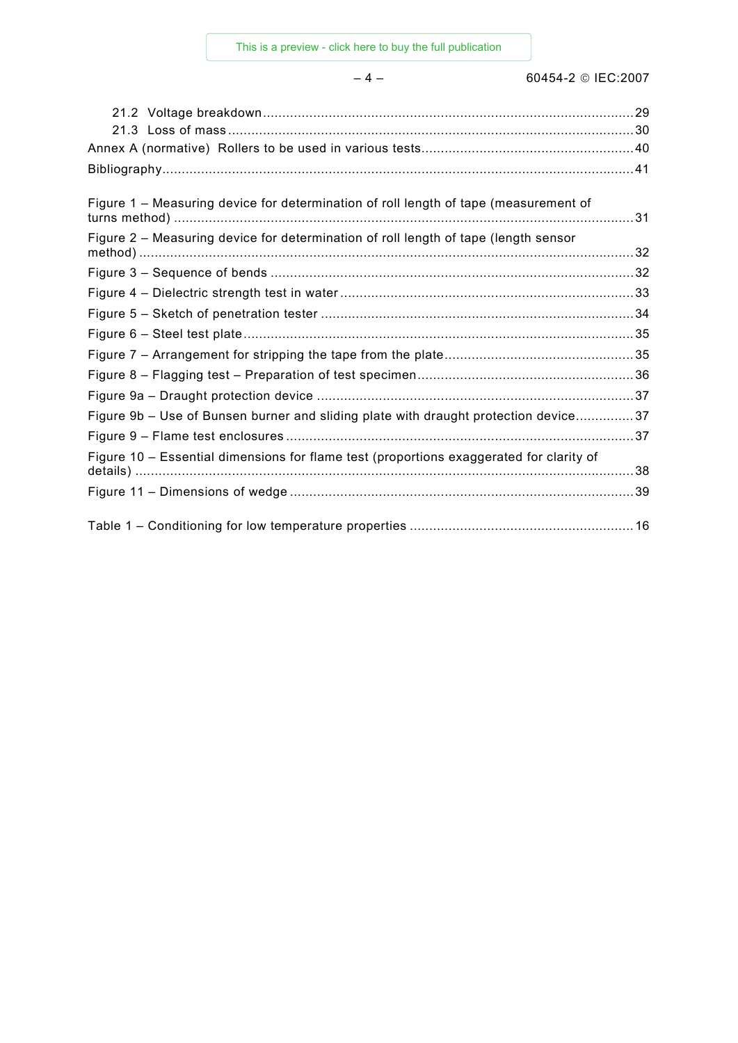| Figure 1 - Measuring device for determination of roll length of tape (measurement of    |  |
|-----------------------------------------------------------------------------------------|--|
| Figure 2 - Measuring device for determination of roll length of tape (length sensor     |  |
|                                                                                         |  |
|                                                                                         |  |
|                                                                                         |  |
|                                                                                         |  |
|                                                                                         |  |
|                                                                                         |  |
|                                                                                         |  |
| Figure 9b - Use of Bunsen burner and sliding plate with draught protection device37     |  |
|                                                                                         |  |
| Figure 10 - Essential dimensions for flame test (proportions exaggerated for clarity of |  |
|                                                                                         |  |
|                                                                                         |  |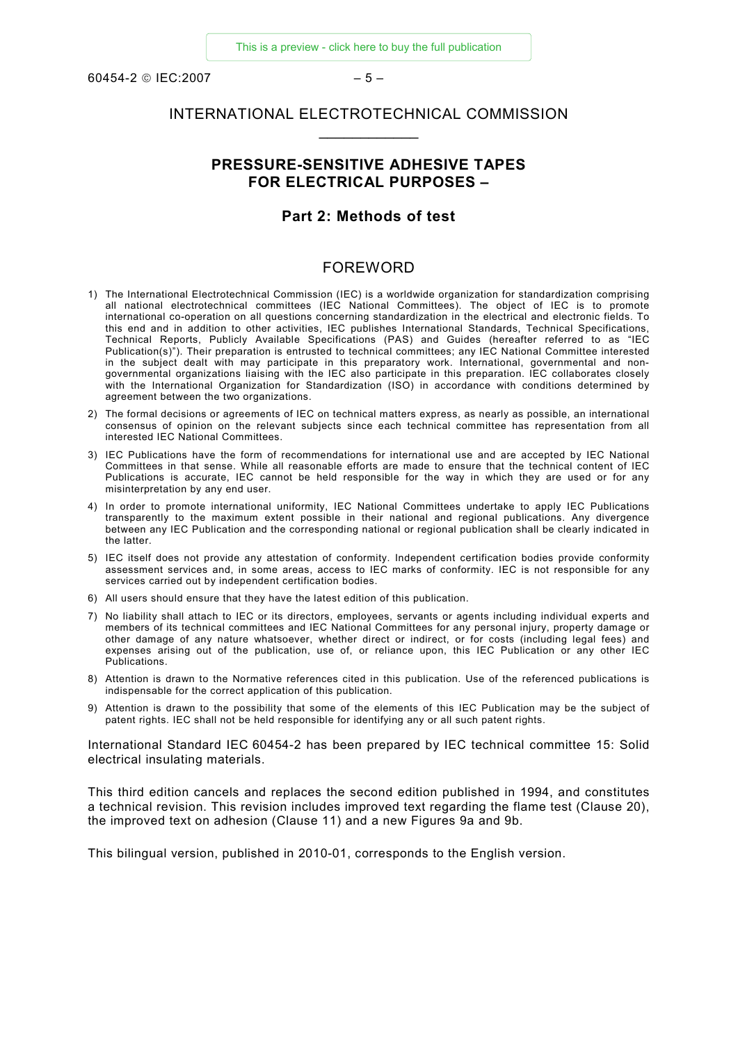<span id="page-4-0"></span> $60454 - 2 \odot \text{IEC:} 2007$  – 5

### INTERNATIONAL ELECTROTECHNICAL COMMISSION  $\frac{1}{2}$

### **PRESSURE-SENSITIVE ADHESIVE TAPES FOR ELECTRICAL PURPOSES –**

### **Part 2: Methods of test**

### FOREWORD

- 1) The International Electrotechnical Commission (IEC) is a worldwide organization for standardization comprising all national electrotechnical committees (IEC National Committees). The object of IEC is to promote international co-operation on all questions concerning standardization in the electrical and electronic fields. To this end and in addition to other activities, IEC publishes International Standards, Technical Specifications, Technical Reports, Publicly Available Specifications (PAS) and Guides (hereafter referred to as "IEC Publication(s)"). Their preparation is entrusted to technical committees; any IEC National Committee interested in the subject dealt with may participate in this preparatory work. International, governmental and nongovernmental organizations liaising with the IEC also participate in this preparation. IEC collaborates closely with the International Organization for Standardization (ISO) in accordance with conditions determined by agreement between the two organizations.
- 2) The formal decisions or agreements of IEC on technical matters express, as nearly as possible, an international consensus of opinion on the relevant subjects since each technical committee has representation from all interested IEC National Committees.
- 3) IEC Publications have the form of recommendations for international use and are accepted by IEC National Committees in that sense. While all reasonable efforts are made to ensure that the technical content of IEC Publications is accurate, IEC cannot be held responsible for the way in which they are used or for any misinterpretation by any end user.
- 4) In order to promote international uniformity, IEC National Committees undertake to apply IEC Publications transparently to the maximum extent possible in their national and regional publications. Any divergence between any IEC Publication and the corresponding national or regional publication shall be clearly indicated in the latter.
- 5) IEC itself does not provide any attestation of conformity. Independent certification bodies provide conformity assessment services and, in some areas, access to IEC marks of conformity. IEC is not responsible for any services carried out by independent certification bodies.
- 6) All users should ensure that they have the latest edition of this publication.
- 7) No liability shall attach to IEC or its directors, employees, servants or agents including individual experts and members of its technical committees and IEC National Committees for any personal injury, property damage or other damage of any nature whatsoever, whether direct or indirect, or for costs (including legal fees) and expenses arising out of the publication, use of, or reliance upon, this IEC Publication or any other IEC Publications.
- 8) Attention is drawn to the Normative references cited in this publication. Use of the referenced publications is indispensable for the correct application of this publication.
- 9) Attention is drawn to the possibility that some of the elements of this IEC Publication may be the subject of patent rights. IEC shall not be held responsible for identifying any or all such patent rights.

International Standard IEC 60454-2 has been prepared by IEC technical committee 15: Solid electrical insulating materials.

This third edition cancels and replaces the second edition published in 1994, and constitutes a technical revision. This revision includes improved text regarding the flame test (Clause 20), the improved text on adhesion (Clause 11) and a new Figures 9a and 9b.

This bilingual version, published in 2010-01, corresponds to the English version.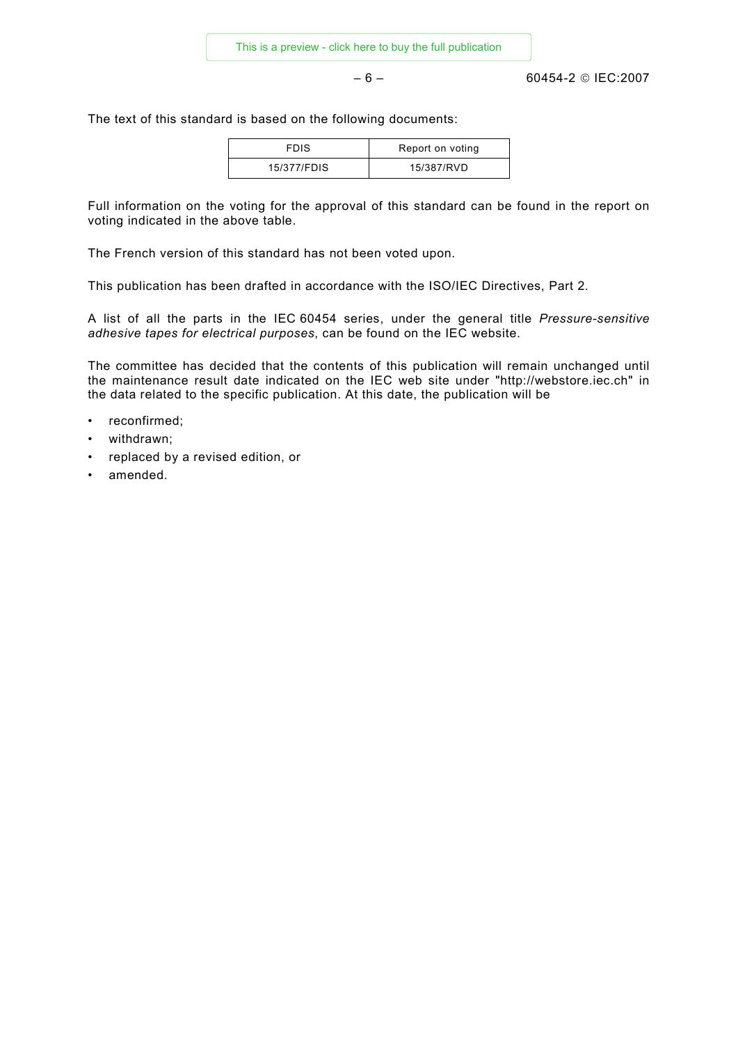– 6 – 60454-2 © IEC:2007

The text of this standard is based on the following documents:

| <b>FDIS</b> | Report on voting |
|-------------|------------------|
| 15/377/FDIS | 15/387/RVD       |

Full information on the voting for the approval of this standard can be found in the report on voting indicated in the above table.

The French version of this standard has not been voted upon.

This publication has been drafted in accordance with the ISO/IEC Directives, Part 2.

A list of all the parts in the IEC 60454 series, under the general title *Pressure-sensitive adhesive tapes for electrical purposes*, can be found on the IEC website.

The committee has decided that the contents of this publication will remain unchanged until the maintenance result date indicated on the IEC web site under "http://webstore.iec.ch" in the data related to the specific publication. At this date, the publication will be

- reconfirmed;
- withdrawn;
- replaced by a revised edition, or
- amended.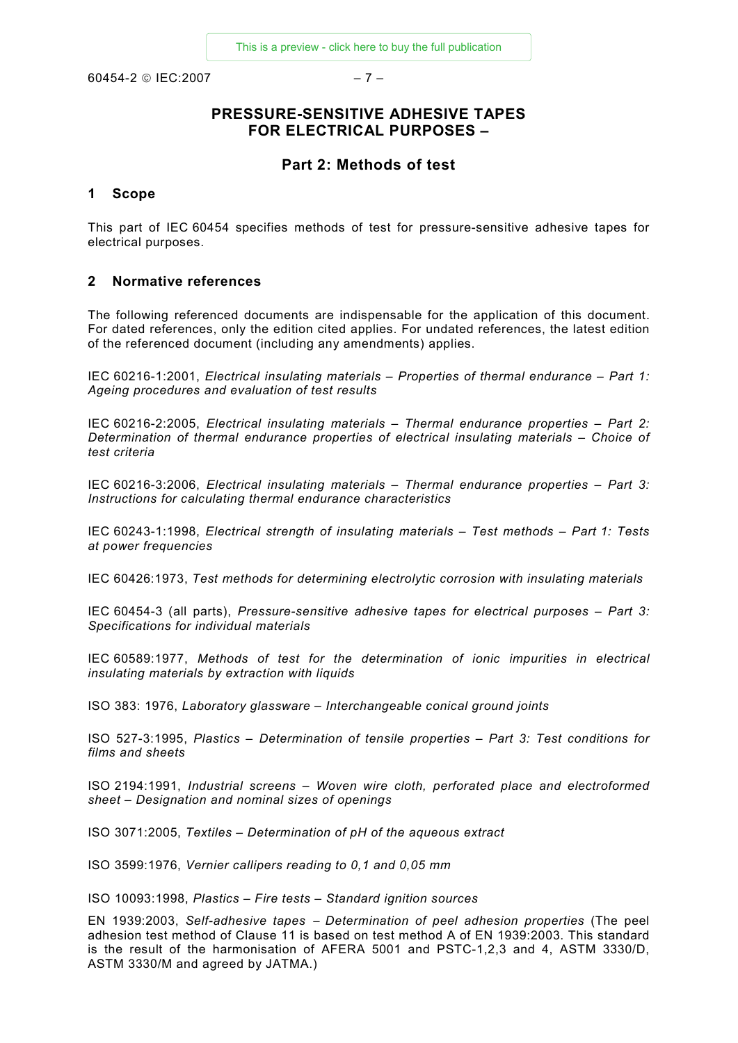<span id="page-6-0"></span> $60454-2$  © IFC: 2007 – 7 –

### **PRESSURE-SENSITIVE ADHESIVE TAPES FOR ELECTRICAL PURPOSES –**

### **Part 2: Methods of test**

### **1 Scope**

This part of IEC 60454 specifies methods of test for pressure-sensitive adhesive tapes for electrical purposes.

### **2 Normative references**

The following referenced documents are indispensable for the application of this document. For dated references, only the edition cited applies. For undated references, the latest edition of the referenced document (including any amendments) applies.

IEC 60216-1:2001, *Electrical insulating materials – Properties of thermal endurance – Part 1: Ageing procedures and evaluation of test results*

IEC 60216-2:2005, *Electrical insulating materials – Thermal endurance properties – Part 2: Determination of thermal endurance properties of electrical insulating materials – Choice of test criteria*

IEC 60216-3:2006, *Electrical insulating materials – Thermal endurance properties – Part 3: Instructions for calculating thermal endurance characteristics* 

IEC 60243-1:1998, *Electrical strength of insulating materials – Test methods – Part 1: Tests at power frequencies* 

IEC 60426:1973, *Test methods for determining electrolytic corrosion with insulating materials*

IEC 60454-3 (all parts), *Pressure-sensitive adhesive tapes for electrical purposes – Part 3: Specifications for individual materials*

IEC 60589:1977, *Methods of test for the determination of ionic impurities in electrical insulating materials by extraction with liquids*

ISO 383: 1976, *Laboratory glassware – Interchangeable conical ground joints*

ISO 527-3:1995, *Plastics – Determination of tensile properties – Part 3: Test conditions for films and sheets* 

ISO 2194:1991, *Industrial screens – Woven wire cloth, perforated place and electroformed sheet – Designation and nominal sizes of openings*

ISO 3071:2005, *Textiles – Determination of pH of the aqueous extract*

ISO 3599:1976, *Vernier callipers reading to 0,1 and 0,05 mm*

ISO 10093:1998, *Plastics – Fire tests – Standard ignition sources*

EN 1939:2003, *Self-adhesive tapes* − *Determination of peel adhesion properties* (The peel adhesion test method of Clause 11 is based on test method A of EN 1939:2003. This standard is the result of the harmonisation of AFERA 5001 and PSTC-1,2,3 and 4, ASTM 3330/D, ASTM 3330/M and agreed by JATMA.)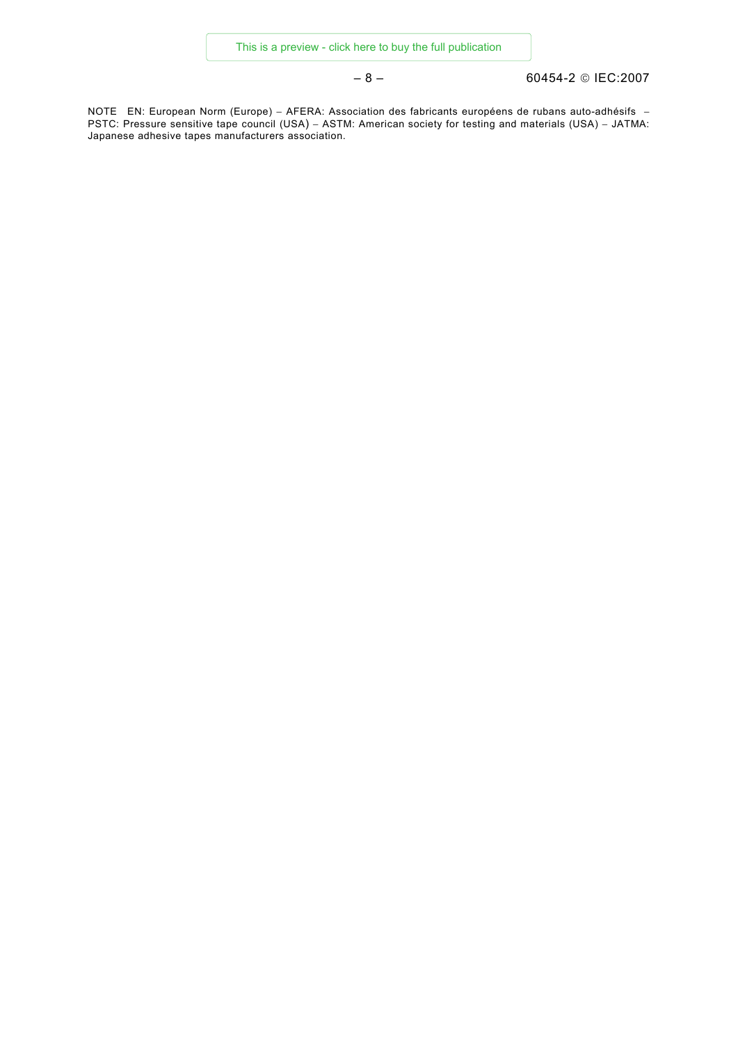### – 8 – 60454-2 © IEC:2007

<span id="page-7-0"></span>NOTE EN: European Norm (Europe) − AFERA: Association des fabricants européens de rubans auto-adhésifs − PSTC: Pressure sensitive tape council (USA) − ASTM: American society for testing and materials (USA) − JATMA: Japanese adhesive tapes manufacturers association.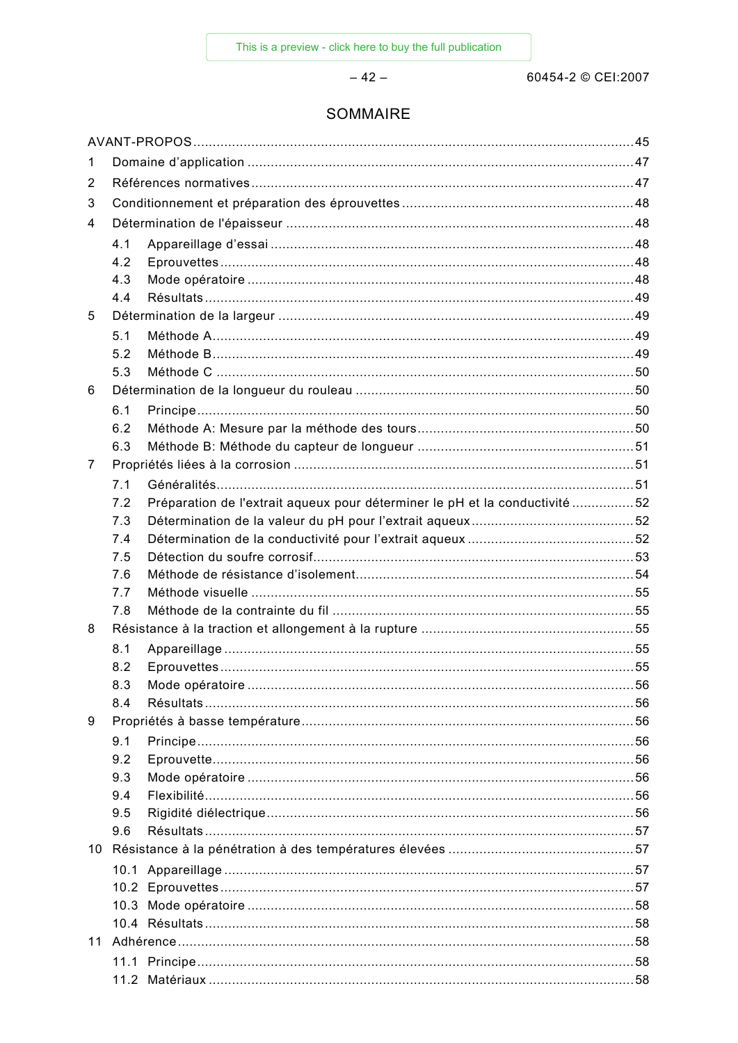$-42-$ 

### SOMMAIRE

| 1   |     |                                                                             |  |  |
|-----|-----|-----------------------------------------------------------------------------|--|--|
| 2   |     |                                                                             |  |  |
| 3   |     |                                                                             |  |  |
| 4   |     |                                                                             |  |  |
|     | 4.1 |                                                                             |  |  |
|     | 4.2 |                                                                             |  |  |
|     | 4.3 |                                                                             |  |  |
|     | 4.4 |                                                                             |  |  |
| 5   |     |                                                                             |  |  |
|     | 5.1 |                                                                             |  |  |
|     | 5.2 |                                                                             |  |  |
|     | 5.3 |                                                                             |  |  |
| 6   |     |                                                                             |  |  |
|     | 6.1 |                                                                             |  |  |
|     | 6.2 |                                                                             |  |  |
|     | 6.3 |                                                                             |  |  |
| 7   |     |                                                                             |  |  |
|     | 7.1 |                                                                             |  |  |
|     | 7.2 | Préparation de l'extrait aqueux pour déterminer le pH et la conductivité 52 |  |  |
|     | 7.3 |                                                                             |  |  |
|     | 7.4 |                                                                             |  |  |
|     | 7.5 |                                                                             |  |  |
|     | 7.6 |                                                                             |  |  |
|     | 7.7 |                                                                             |  |  |
|     | 7.8 |                                                                             |  |  |
| 8   |     |                                                                             |  |  |
|     | 8.1 |                                                                             |  |  |
|     | 8.2 |                                                                             |  |  |
|     | 8.3 |                                                                             |  |  |
|     | 8.4 |                                                                             |  |  |
| 9   |     |                                                                             |  |  |
|     | 9.1 |                                                                             |  |  |
|     | 9.2 |                                                                             |  |  |
|     | 9.3 |                                                                             |  |  |
|     | 9.4 |                                                                             |  |  |
|     | 9.5 |                                                                             |  |  |
|     | 9.6 |                                                                             |  |  |
| 10. |     |                                                                             |  |  |
|     |     |                                                                             |  |  |
|     |     |                                                                             |  |  |
|     |     |                                                                             |  |  |
|     |     |                                                                             |  |  |
| 11  |     |                                                                             |  |  |
|     |     |                                                                             |  |  |
|     |     |                                                                             |  |  |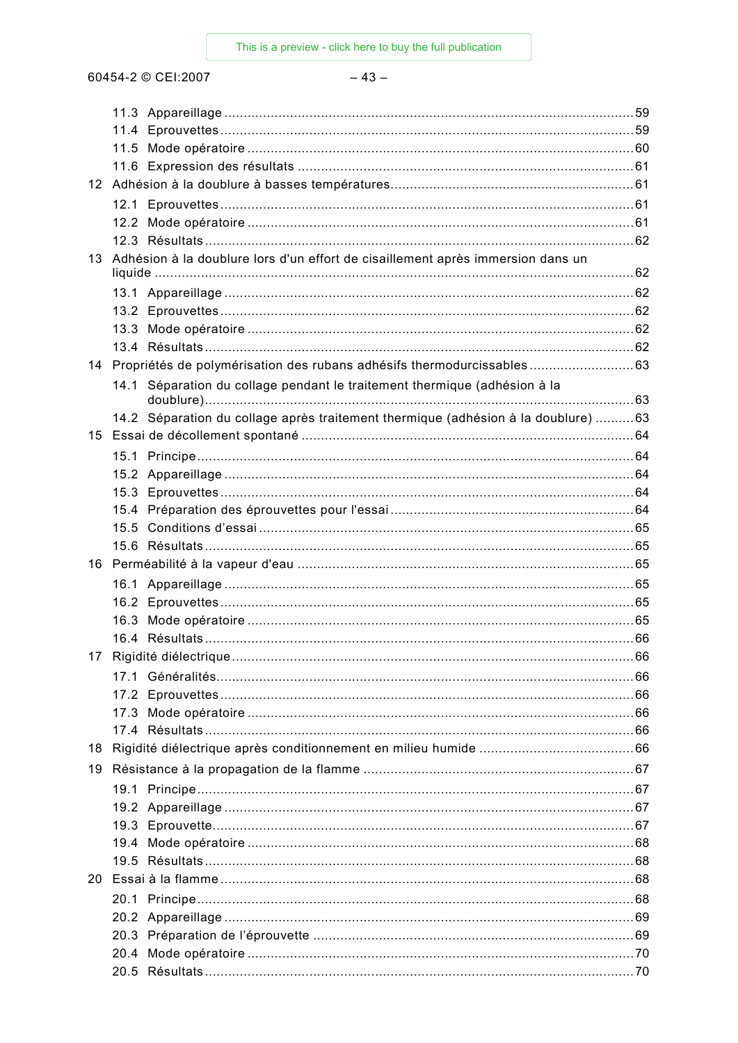60454-2 © CEI:2007

### $-43-$

| 12 |                                                                                   |  |
|----|-----------------------------------------------------------------------------------|--|
|    |                                                                                   |  |
|    |                                                                                   |  |
|    |                                                                                   |  |
| 13 | Adhésion à la doublure lors d'un effort de cisaillement après immersion dans un   |  |
|    |                                                                                   |  |
|    |                                                                                   |  |
|    |                                                                                   |  |
|    |                                                                                   |  |
|    |                                                                                   |  |
| 14 | Propriétés de polymérisation des rubans adhésifs thermodurcissables63             |  |
|    | 14.1 Séparation du collage pendant le traitement thermique (adhésion à la         |  |
|    | 14.2 Séparation du collage après traitement thermique (adhésion à la doublure) 63 |  |
| 15 |                                                                                   |  |
|    |                                                                                   |  |
|    |                                                                                   |  |
|    |                                                                                   |  |
|    |                                                                                   |  |
|    |                                                                                   |  |
|    |                                                                                   |  |
| 16 |                                                                                   |  |
|    |                                                                                   |  |
|    |                                                                                   |  |
|    |                                                                                   |  |
|    |                                                                                   |  |
|    |                                                                                   |  |
|    |                                                                                   |  |
|    |                                                                                   |  |
|    |                                                                                   |  |
|    |                                                                                   |  |
| 18 |                                                                                   |  |
| 19 |                                                                                   |  |
|    |                                                                                   |  |
|    |                                                                                   |  |
|    |                                                                                   |  |
|    |                                                                                   |  |
|    |                                                                                   |  |
| 20 |                                                                                   |  |
|    |                                                                                   |  |
|    |                                                                                   |  |
|    |                                                                                   |  |
|    |                                                                                   |  |
|    |                                                                                   |  |
|    |                                                                                   |  |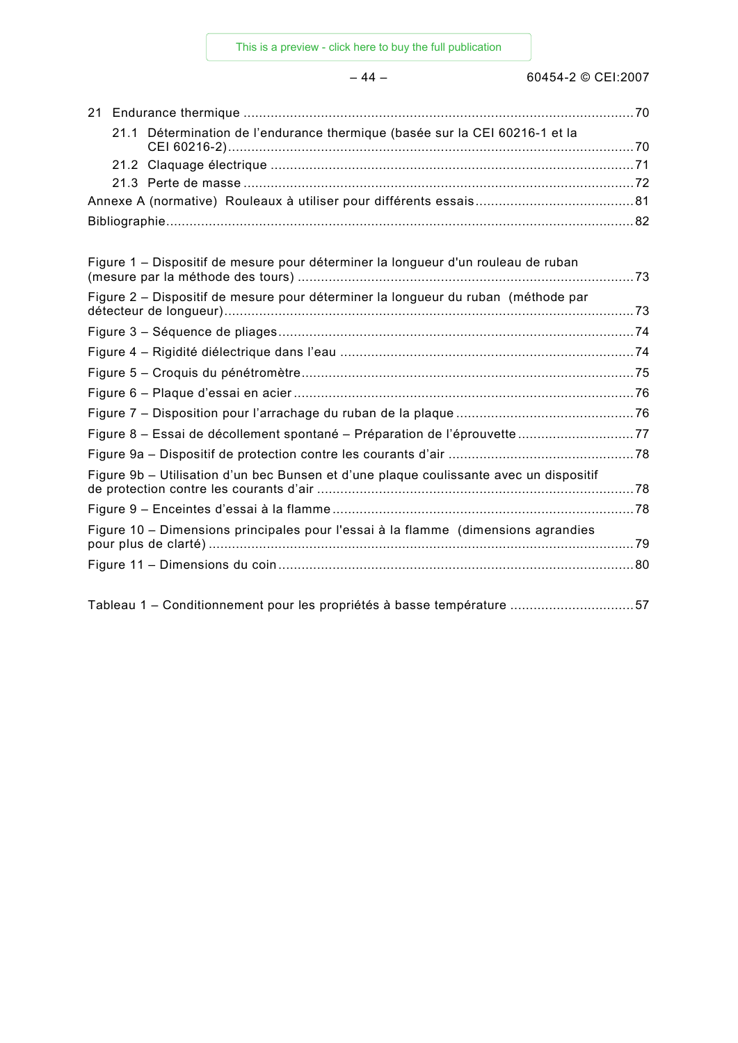| 21.1 Détermination de l'endurance thermique (basée sur la CEI 60216-1 et la            |  |
|----------------------------------------------------------------------------------------|--|
|                                                                                        |  |
|                                                                                        |  |
|                                                                                        |  |
|                                                                                        |  |
|                                                                                        |  |
| Figure 1 - Dispositif de mesure pour déterminer la longueur d'un rouleau de ruban      |  |
| Figure 2 - Dispositif de mesure pour déterminer la longueur du ruban (méthode par      |  |
|                                                                                        |  |
|                                                                                        |  |
|                                                                                        |  |
|                                                                                        |  |
|                                                                                        |  |
| Figure 8 - Essai de décollement spontané - Préparation de l'éprouvette 77              |  |
|                                                                                        |  |
| Figure 9b - Utilisation d'un bec Bunsen et d'une plaque coulissante avec un dispositif |  |
|                                                                                        |  |
| Figure 10 - Dimensions principales pour l'essai à la flamme (dimensions agrandies      |  |
|                                                                                        |  |
| Tableau 1 - Conditionnement pour les propriétés à basse température 57                 |  |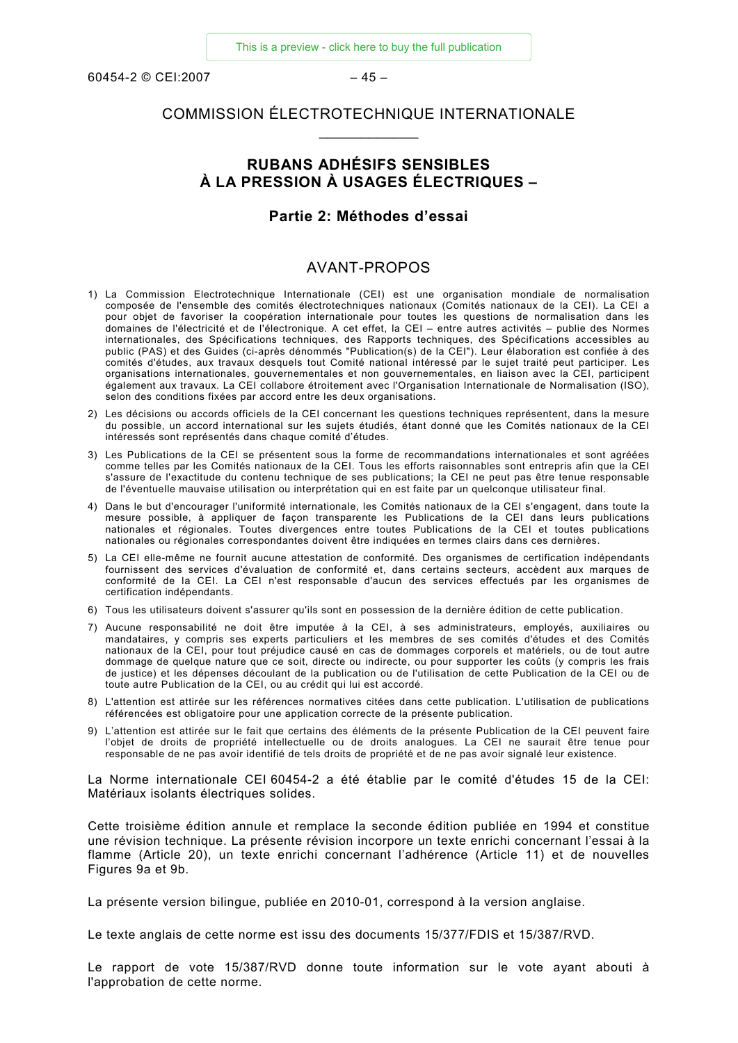<span id="page-11-0"></span> $60454 - 2$  © CEI:2007 – 45

### COMMISSION ÉLECTROTECHNIQUE INTERNATIONALE  $\frac{1}{2}$  ,  $\frac{1}{2}$  ,  $\frac{1}{2}$  ,  $\frac{1}{2}$  ,  $\frac{1}{2}$  ,  $\frac{1}{2}$

### **RUBANS ADHÉSIFS SENSIBLES À LA PRESSION À USAGES ÉLECTRIQUES –**

### **Partie 2: Méthodes d'essai**

### AVANT-PROPOS

- 1) La Commission Electrotechnique Internationale (CEI) est une organisation mondiale de normalisation composée de l'ensemble des comités électrotechniques nationaux (Comités nationaux de la CEI). La CEI a pour objet de favoriser la coopération internationale pour toutes les questions de normalisation dans les domaines de l'électricité et de l'électronique. A cet effet, la CEI – entre autres activités – publie des Normes internationales, des Spécifications techniques, des Rapports techniques, des Spécifications accessibles au public (PAS) et des Guides (ci-après dénommés "Publication(s) de la CEI"). Leur élaboration est confiée à des comités d'études, aux travaux desquels tout Comité national intéressé par le sujet traité peut participer. Les organisations internationales, gouvernementales et non gouvernementales, en liaison avec la CEI, participent également aux travaux. La CEI collabore étroitement avec l'Organisation Internationale de Normalisation (ISO), selon des conditions fixées par accord entre les deux organisations.
- 2) Les décisions ou accords officiels de la CEI concernant les questions techniques représentent, dans la mesure du possible, un accord international sur les sujets étudiés, étant donné que les Comités nationaux de la CEI intéressés sont représentés dans chaque comité d'études.
- 3) Les Publications de la CEI se présentent sous la forme de recommandations internationales et sont agréées comme telles par les Comités nationaux de la CEI. Tous les efforts raisonnables sont entrepris afin que la CEI s'assure de l'exactitude du contenu technique de ses publications; la CEI ne peut pas être tenue responsable de l'éventuelle mauvaise utilisation ou interprétation qui en est faite par un quelconque utilisateur final.
- 4) Dans le but d'encourager l'uniformité internationale, les Comités nationaux de la CEI s'engagent, dans toute la mesure possible, à appliquer de façon transparente les Publications de la CEI dans leurs publications nationales et régionales. Toutes divergences entre toutes Publications de la CEI et toutes publications nationales ou régionales correspondantes doivent être indiquées en termes clairs dans ces dernières.
- 5) La CEI elle-même ne fournit aucune attestation de conformité. Des organismes de certification indépendants fournissent des services d'évaluation de conformité et, dans certains secteurs, accèdent aux marques de conformité de la CEI. La CEI n'est responsable d'aucun des services effectués par les organismes de certification indépendants.
- 6) Tous les utilisateurs doivent s'assurer qu'ils sont en possession de la dernière édition de cette publication.
- 7) Aucune responsabilité ne doit être imputée à la CEI, à ses administrateurs, employés, auxiliaires ou mandataires, y compris ses experts particuliers et les membres de ses comités d'études et des Comités nationaux de la CEI, pour tout préjudice causé en cas de dommages corporels et matériels, ou de tout autre dommage de quelque nature que ce soit, directe ou indirecte, ou pour supporter les coûts (y compris les frais de justice) et les dépenses découlant de la publication ou de l'utilisation de cette Publication de la CEI ou de toute autre Publication de la CEI, ou au crédit qui lui est accordé.
- 8) L'attention est attirée sur les références normatives citées dans cette publication. L'utilisation de publications référencées est obligatoire pour une application correcte de la présente publication.
- 9) L'attention est attirée sur le fait que certains des éléments de la présente Publication de la CEI peuvent faire l'objet de droits de propriété intellectuelle ou de droits analogues. La CEI ne saurait être tenue pour responsable de ne pas avoir identifié de tels droits de propriété et de ne pas avoir signalé leur existence.

La Norme internationale CEI 60454-2 a été établie par le comité d'études 15 de la CEI: Matériaux isolants électriques solides.

Cette troisième édition annule et remplace la seconde édition publiée en 1994 et constitue une révision technique. La présente révision incorpore un texte enrichi concernant l'essai à la flamme (Article 20), un texte enrichi concernant l'adhérence (Article 11) et de nouvelles Figures 9a et 9b.

La présente version bilingue, publiée en 2010-01, correspond à la version anglaise.

Le texte anglais de cette norme est issu des documents 15/377/FDIS et 15/387/RVD.

Le rapport de vote 15/387/RVD donne toute information sur le vote ayant abouti à l'approbation de cette norme.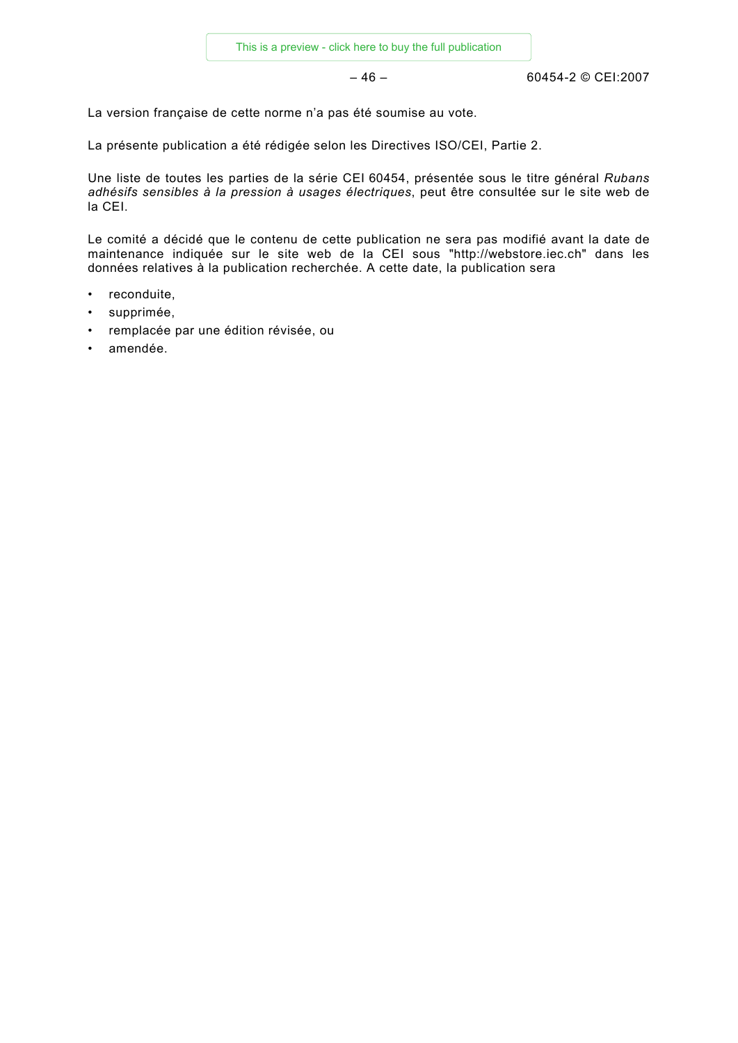– 46 – 60454-2 © CEI:2007

La version française de cette norme n'a pas été soumise au vote.

La présente publication a été rédigée selon les Directives ISO/CEI, Partie 2.

Une liste de toutes les parties de la série CEI 60454, présentée sous le titre général *Rubans adhésifs sensibles à la pression à usages électriques*, peut être consultée sur le site web de la CEI.

Le comité a décidé que le contenu de cette publication ne sera pas modifié avant la date de maintenance indiquée sur le site web de la CEI sous "http://webstore.iec.ch" dans les données relatives à la publication recherchée. A cette date, la publication sera

- reconduite,
- supprimée,
- remplacée par une édition révisée, ou
- amendée.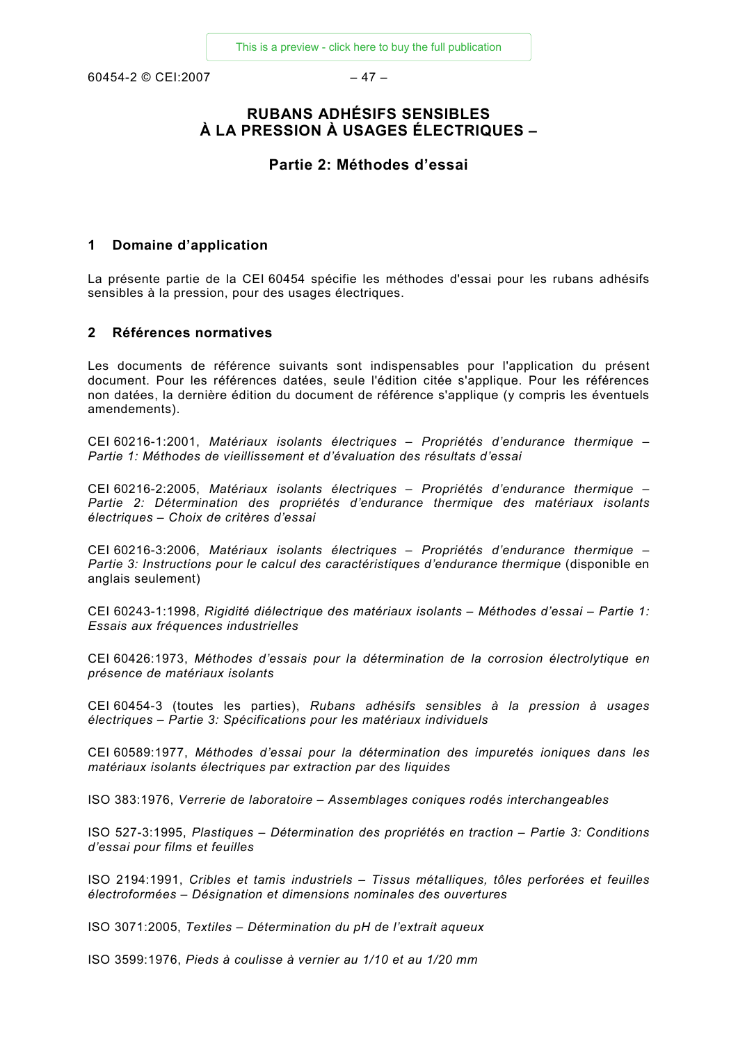$60454 - 2$  © CEI:2007 – 47 –

### **RUBANS ADHÉSIFS SENSIBLES À LA PRESSION À USAGES ÉLECTRIQUES –**

### **Partie 2: Méthodes d'essai**

### **1 Domaine d'application**

La présente partie de la CEI 60454 spécifie les méthodes d'essai pour les rubans adhésifs sensibles à la pression, pour des usages électriques.

### **2 Références normatives**

Les documents de référence suivants sont indispensables pour l'application du présent document. Pour les références datées, seule l'édition citée s'applique. Pour les références non datées, la dernière édition du document de référence s'applique (y compris les éventuels amendements).

CEI 60216-1:2001, *Matériaux isolants électriques – Propriétés d'endurance thermique – Partie 1: Méthodes de vieillissement et d'évaluation des résultats d'essai* 

CEI 60216-2:2005, *Matériaux isolants électriques – Propriétés d'endurance thermique – Partie 2: Détermination des propriétés d'endurance thermique des matériaux isolants électriques – Choix de critères d'essai* 

CEI 60216-3:2006, *Matériaux isolants électriques – Propriétés d'endurance thermique –*  Partie 3: Instructions pour le calcul des caractéristiques d'endurance thermique (disponible en anglais seulement)

CEI 60243-1:1998, *Rigidité diélectrique des matériaux isolants – Méthodes d'essai – Partie 1: Essais aux fréquences industrielles* 

CEI 60426:1973, *Méthodes d'essais pour la détermination de la corrosion électrolytique en présence de matériaux isolants* 

CEI 60454-3 (toutes les parties), *Rubans adhésifs sensibles à la pression à usages électriques – Partie 3: Spécifications pour les matériaux individuels* 

CEI 60589:1977, *Méthodes d'essai pour la détermination des impuretés ioniques dans les matériaux isolants électriques par extraction par des liquides* 

ISO 383:1976, *Verrerie de laboratoire – Assemblages coniques rodés interchangeables* 

ISO 527-3:1995, *Plastiques – Détermination des propriétés en traction – Partie 3: Conditions d'essai pour films et feuilles* 

ISO 2194:1991, *Cribles et tamis industriels – Tissus métalliques, tôles perforées et feuilles électroformées – Désignation et dimensions nominales des ouvertures* 

ISO 3071:2005, *Textiles – Détermination du pH de l'extrait aqueux* 

ISO 3599:1976, *Pieds à coulisse à vernier au 1/10 et au 1/20 mm*